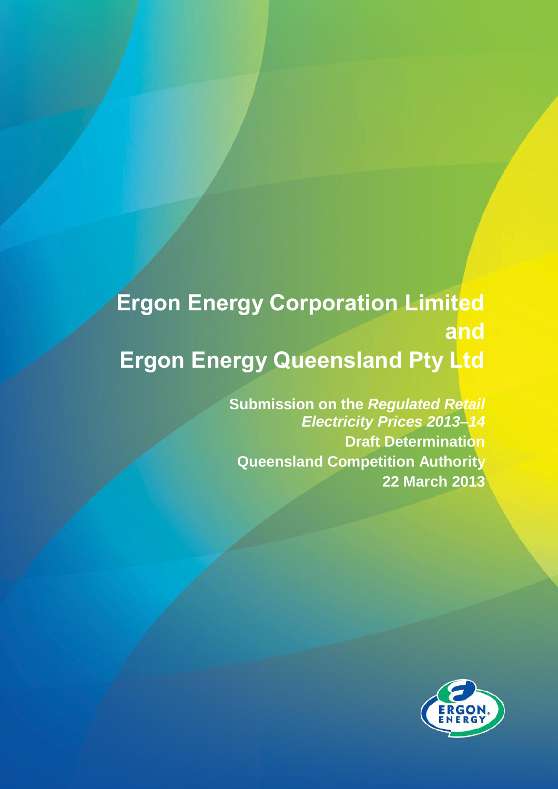# **Ergon Energy Corporation Limited and Ergon Energy Queensland Pty Ltd**

**Submission on the** *Regulated Retail Electricity Prices 2013–14* **Draft Determination Queensland Competition Authority 22 March 2013**

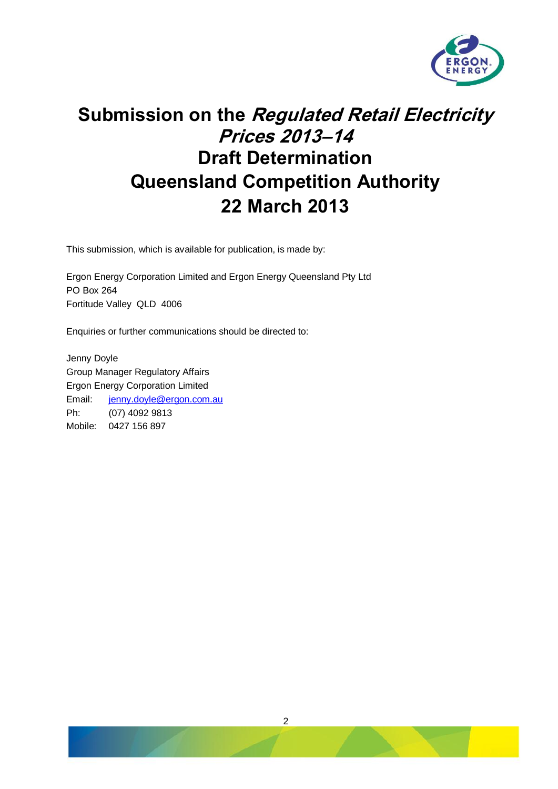

# **Submission on the Regulated Retail Electricity Prices 2013–14 Draft Determination Queensland Competition Authority 22 March 2013**

This submission, which is available for publication, is made by:

Ergon Energy Corporation Limited and Ergon Energy Queensland Pty Ltd PO Box 264 Fortitude Valley QLD 4006

Enquiries or further communications should be directed to:

Jenny Doyle Group Manager Regulatory Affairs Ergon Energy Corporation Limited Email: [jenny.doyle@ergon.com.au](mailto:jenny.doyle@ergon.com.au) Ph: (07) 4092 9813 Mobile: 0427 156 897

2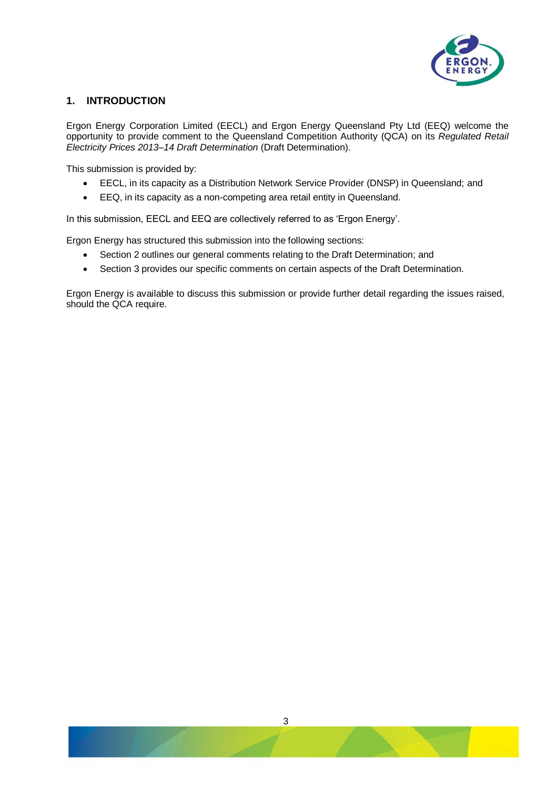

# **1. INTRODUCTION**

Ergon Energy Corporation Limited (EECL) and Ergon Energy Queensland Pty Ltd (EEQ) welcome the opportunity to provide comment to the Queensland Competition Authority (QCA) on its *Regulated Retail Electricity Prices 2013–14 Draft Determination* (Draft Determination).

This submission is provided by:

- EECL, in its capacity as a Distribution Network Service Provider (DNSP) in Queensland; and
- EEQ, in its capacity as a non-competing area retail entity in Queensland.

In this submission, EECL and EEQ are collectively referred to as 'Ergon Energy'.

Ergon Energy has structured this submission into the following sections:

- Section 2 outlines our general comments relating to the Draft Determination; and
- Section 3 provides our specific comments on certain aspects of the Draft Determination.

Ergon Energy is available to discuss this submission or provide further detail regarding the issues raised, should the QCA require.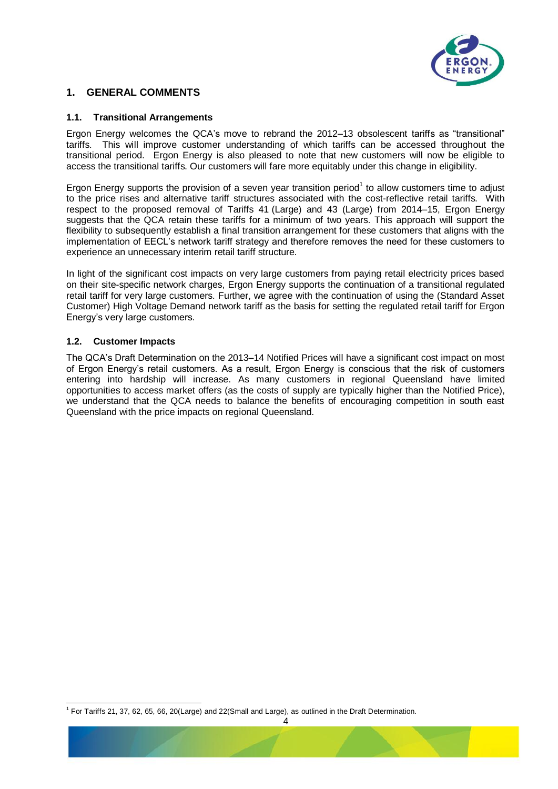

# **1. GENERAL COMMENTS**

#### **1.1. Transitional Arrangements**

Ergon Energy welcomes the QCA's move to rebrand the 2012–13 obsolescent tariffs as "transitional" tariffs. This will improve customer understanding of which tariffs can be accessed throughout the transitional period. Ergon Energy is also pleased to note that new customers will now be eligible to access the transitional tariffs. Our customers will fare more equitably under this change in eligibility.

Ergon Energy supports the provision of a seven year transition period<sup>1</sup> to allow customers time to adjust to the price rises and alternative tariff structures associated with the cost-reflective retail tariffs. With respect to the proposed removal of Tariffs 41 (Large) and 43 (Large) from 2014–15, Ergon Energy suggests that the QCA retain these tariffs for a minimum of two years. This approach will support the flexibility to subsequently establish a final transition arrangement for these customers that aligns with the implementation of EECL's network tariff strategy and therefore removes the need for these customers to experience an unnecessary interim retail tariff structure.

In light of the significant cost impacts on very large customers from paying retail electricity prices based on their site-specific network charges, Ergon Energy supports the continuation of a transitional regulated retail tariff for very large customers. Further, we agree with the continuation of using the (Standard Asset Customer) High Voltage Demand network tariff as the basis for setting the regulated retail tariff for Ergon Energy's very large customers.

#### **1.2. Customer Impacts**

1

The QCA's Draft Determination on the 2013–14 Notified Prices will have a significant cost impact on most of Ergon Energy's retail customers. As a result, Ergon Energy is conscious that the risk of customers entering into hardship will increase. As many customers in regional Queensland have limited opportunities to access market offers (as the costs of supply are typically higher than the Notified Price), we understand that the QCA needs to balance the benefits of encouraging competition in south east Queensland with the price impacts on regional Queensland.

<sup>1</sup> For Tariffs 21, 37, 62, 65, 66, 20(Large) and 22(Small and Large), as outlined in the Draft Determination.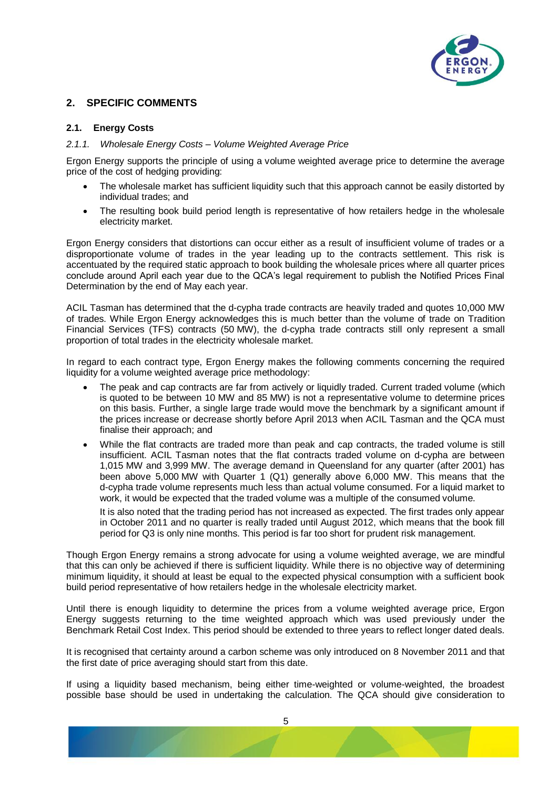

# **2. SPECIFIC COMMENTS**

#### **2.1. Energy Costs**

#### *2.1.1. Wholesale Energy Costs – Volume Weighted Average Price*

Ergon Energy supports the principle of using a volume weighted average price to determine the average price of the cost of hedging providing:

- The wholesale market has sufficient liquidity such that this approach cannot be easily distorted by individual trades; and
- The resulting book build period length is representative of how retailers hedge in the wholesale electricity market.

Ergon Energy considers that distortions can occur either as a result of insufficient volume of trades or a disproportionate volume of trades in the year leading up to the contracts settlement. This risk is accentuated by the required static approach to book building the wholesale prices where all quarter prices conclude around April each year due to the QCA's legal requirement to publish the Notified Prices Final Determination by the end of May each year.

ACIL Tasman has determined that the d-cypha trade contracts are heavily traded and quotes 10,000 MW of trades. While Ergon Energy acknowledges this is much better than the volume of trade on Tradition Financial Services (TFS) contracts (50 MW), the d-cypha trade contracts still only represent a small proportion of total trades in the electricity wholesale market.

In regard to each contract type, Ergon Energy makes the following comments concerning the required liquidity for a volume weighted average price methodology:

- The peak and cap contracts are far from actively or liquidly traded. Current traded volume (which is quoted to be between 10 MW and 85 MW) is not a representative volume to determine prices on this basis. Further, a single large trade would move the benchmark by a significant amount if the prices increase or decrease shortly before April 2013 when ACIL Tasman and the QCA must finalise their approach; and
- While the flat contracts are traded more than peak and cap contracts, the traded volume is still insufficient. ACIL Tasman notes that the flat contracts traded volume on d-cypha are between 1,015 MW and 3,999 MW. The average demand in Queensland for any quarter (after 2001) has been above 5,000 MW with Quarter 1 (Q1) generally above 6,000 MW. This means that the d-cypha trade volume represents much less than actual volume consumed. For a liquid market to work, it would be expected that the traded volume was a multiple of the consumed volume.

It is also noted that the trading period has not increased as expected. The first trades only appear in October 2011 and no quarter is really traded until August 2012, which means that the book fill period for Q3 is only nine months. This period is far too short for prudent risk management.

Though Ergon Energy remains a strong advocate for using a volume weighted average, we are mindful that this can only be achieved if there is sufficient liquidity. While there is no objective way of determining minimum liquidity, it should at least be equal to the expected physical consumption with a sufficient book build period representative of how retailers hedge in the wholesale electricity market.

Until there is enough liquidity to determine the prices from a volume weighted average price, Ergon Energy suggests returning to the time weighted approach which was used previously under the Benchmark Retail Cost Index. This period should be extended to three years to reflect longer dated deals.

It is recognised that certainty around a carbon scheme was only introduced on 8 November 2011 and that the first date of price averaging should start from this date.

If using a liquidity based mechanism, being either time-weighted or volume-weighted, the broadest possible base should be used in undertaking the calculation. The QCA should give consideration to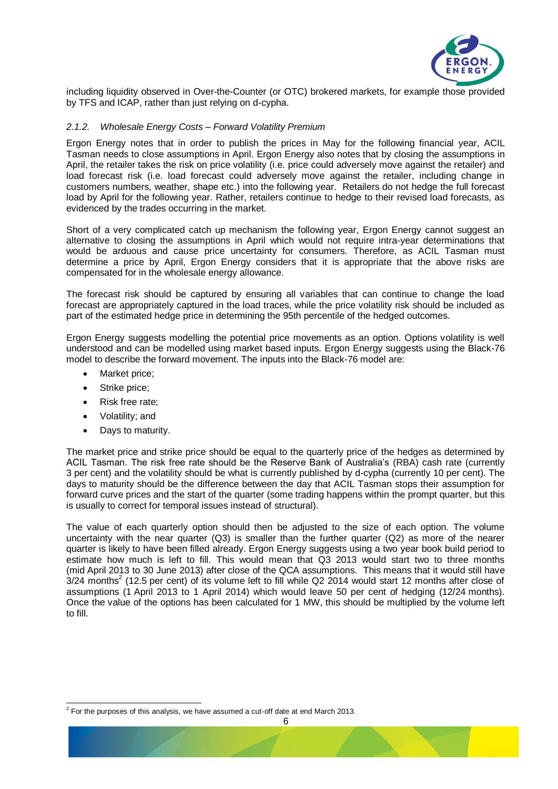

including liquidity observed in Over-the-Counter (or OTC) brokered markets, for example those provided by TFS and ICAP, rather than just relying on d-cypha.

#### *2.1.2. Wholesale Energy Costs – Forward Volatility Premium*

Ergon Energy notes that in order to publish the prices in May for the following financial year, ACIL Tasman needs to close assumptions in April. Ergon Energy also notes that by closing the assumptions in April, the retailer takes the risk on price volatility (i.e. price could adversely move against the retailer) and load forecast risk (i.e. load forecast could adversely move against the retailer, including change in customers numbers, weather, shape etc.) into the following year. Retailers do not hedge the full forecast load by April for the following year. Rather, retailers continue to hedge to their revised load forecasts, as evidenced by the trades occurring in the market.

Short of a very complicated catch up mechanism the following year, Ergon Energy cannot suggest an alternative to closing the assumptions in April which would not require intra-year determinations that would be arduous and cause price uncertainty for consumers. Therefore, as ACIL Tasman must determine a price by April, Ergon Energy considers that it is appropriate that the above risks are compensated for in the wholesale energy allowance.

The forecast risk should be captured by ensuring all variables that can continue to change the load forecast are appropriately captured in the load traces, while the price volatility risk should be included as part of the estimated hedge price in determining the 95th percentile of the hedged outcomes.

Ergon Energy suggests modelling the potential price movements as an option. Options volatility is well understood and can be modelled using market based inputs. Ergon Energy suggests using the Black-76 model to describe the forward movement. The inputs into the Black-76 model are:

- Market price;
- Strike price;
- Risk free rate;
- Volatility; and

1

• Days to maturity.

The market price and strike price should be equal to the quarterly price of the hedges as determined by ACIL Tasman. The risk free rate should be the Reserve Bank of Australia's (RBA) cash rate (currently 3 per cent) and the volatility should be what is currently published by d-cypha (currently 10 per cent). The days to maturity should be the difference between the day that ACIL Tasman stops their assumption for forward curve prices and the start of the quarter (some trading happens within the prompt quarter, but this is usually to correct for temporal issues instead of structural).

The value of each quarterly option should then be adjusted to the size of each option. The volume uncertainty with the near quarter (Q3) is smaller than the further quarter (Q2) as more of the nearer quarter is likely to have been filled already. Ergon Energy suggests using a two year book build period to estimate how much is left to fill. This would mean that Q3 2013 would start two to three months (mid April 2013 to 30 June 2013) after close of the QCA assumptions. This means that it would still have  $3/24$  months<sup>2</sup> (12.5 per cent) of its volume left to fill while Q2 2014 would start 12 months after close of assumptions (1 April 2013 to 1 April 2014) which would leave 50 per cent of hedging (12/24 months). Once the value of the options has been calculated for 1 MW, this should be multiplied by the volume left to fill.

 $2$  For the purposes of this analysis, we have assumed a cut-off date at end March 2013.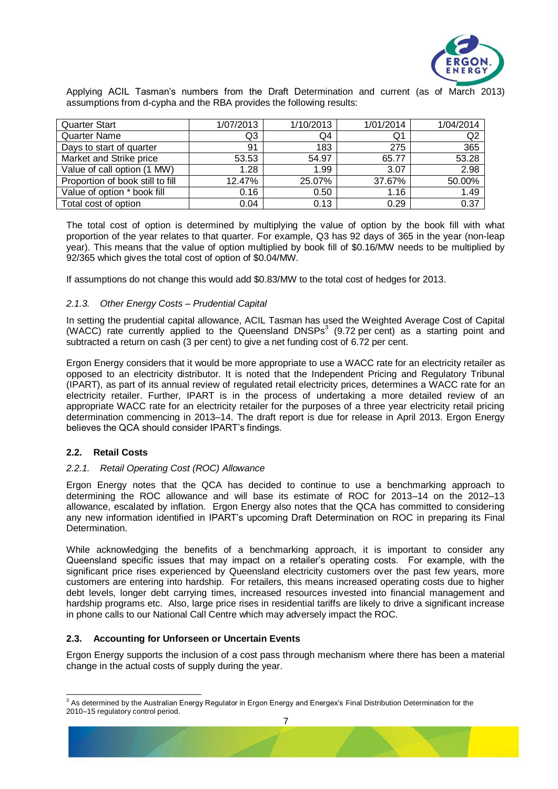

Applying ACIL Tasman's numbers from the Draft Determination and current (as of March 2013) assumptions from d-cypha and the RBA provides the following results:

| <b>Quarter Start</b>             | 1/07/2013 | 1/10/2013 | 1/01/2014 | 1/04/2014      |
|----------------------------------|-----------|-----------|-----------|----------------|
| <b>Quarter Name</b>              | Q3        | Q4        | Q1        | Q <sub>2</sub> |
| Days to start of quarter         | 91        | 183       | 275       | 365            |
| Market and Strike price          | 53.53     | 54.97     | 65.77     | 53.28          |
| Value of call option (1 MW)      | 1.28      | 1.99      | 3.07      | 2.98           |
| Proportion of book still to fill | 12.47%    | 25.07%    | 37.67%    | 50.00%         |
| Value of option * book fill      | 0.16      | 0.50      | 1.16      | 1.49           |
| Total cost of option             | 0.04      | 0.13      | 0.29      | 0.37           |

The total cost of option is determined by multiplying the value of option by the book fill with what proportion of the year relates to that quarter. For example, Q3 has 92 days of 365 in the year (non-leap year). This means that the value of option multiplied by book fill of \$0.16/MW needs to be multiplied by 92/365 which gives the total cost of option of \$0.04/MW.

If assumptions do not change this would add \$0.83/MW to the total cost of hedges for 2013.

# *2.1.3. Other Energy Costs – Prudential Capital*

In setting the prudential capital allowance, ACIL Tasman has used the Weighted Average Cost of Capital (WACC) rate currently applied to the Queensland  $DNSPs<sup>3</sup>$  (9.72 per cent) as a starting point and subtracted a return on cash (3 per cent) to give a net funding cost of 6.72 per cent.

Ergon Energy considers that it would be more appropriate to use a WACC rate for an electricity retailer as opposed to an electricity distributor. It is noted that the Independent Pricing and Regulatory Tribunal (IPART), as part of its annual review of regulated retail electricity prices, determines a WACC rate for an electricity retailer. Further, IPART is in the process of undertaking a more detailed review of an appropriate WACC rate for an electricity retailer for the purposes of a three year electricity retail pricing determination commencing in 2013–14. The draft report is due for release in April 2013. Ergon Energy believes the QCA should consider IPART's findings.

# **2.2. Retail Costs**

# *2.2.1. Retail Operating Cost (ROC) Allowance*

Ergon Energy notes that the QCA has decided to continue to use a benchmarking approach to determining the ROC allowance and will base its estimate of ROC for 2013–14 on the 2012–13 allowance, escalated by inflation. Ergon Energy also notes that the QCA has committed to considering any new information identified in IPART's upcoming Draft Determination on ROC in preparing its Final Determination.

While acknowledging the benefits of a benchmarking approach, it is important to consider any Queensland specific issues that may impact on a retailer's operating costs. For example, with the significant price rises experienced by Queensland electricity customers over the past few years, more customers are entering into hardship. For retailers, this means increased operating costs due to higher debt levels, longer debt carrying times, increased resources invested into financial management and hardship programs etc. Also, large price rises in residential tariffs are likely to drive a significant increase in phone calls to our National Call Centre which may adversely impact the ROC.

# **2.3. Accounting for Unforseen or Uncertain Events**

Ergon Energy supports the inclusion of a cost pass through mechanism where there has been a material change in the actual costs of supply during the year.

 3 As determined by the Australian Energy Regulator in Ergon Energy and Energex's Final Distribution Determination for the 2010–15 regulatory control period.